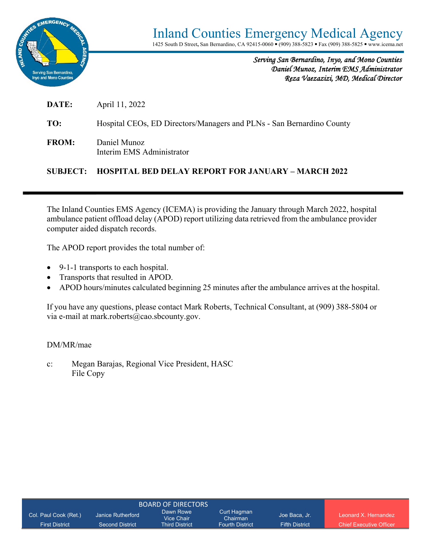

*Serving San Bernardino, Inyo, and Mono Counties Daniel Munoz, Interim EMS Administrator Reza Vaezazizi, MD, Medical Director* 

**DATE:** April 11, 2022

**TO:** Hospital CEOs, ED Directors/Managers and PLNs - San Bernardino County

**FROM:** Daniel Munoz Interim EMS Administrator

#### **SUBJECT: HOSPITAL BED DELAY REPORT FOR JANUARY – MARCH 2022**

The Inland Counties EMS Agency (ICEMA) is providing the January through March 2022, hospital ambulance patient offload delay (APOD) report utilizing data retrieved from the ambulance provider computer aided dispatch records.

The APOD report provides the total number of:

- 9-1-1 transports to each hospital.
- Transports that resulted in APOD.
- APOD hours/minutes calculated beginning 25 minutes after the ambulance arrives at the hospital.

If you have any questions, please contact Mark Roberts, Technical Consultant, at (909) 388-5804 or via e-mail at mark.roberts@cao.sbcounty.gov.

#### DM/MR/mae

c: Megan Barajas, Regional Vice President, HASC File Copy

| Col. Paul Cook (Ret.) | Janice Rutherford      | Dawn Rowe<br>Vice Chair | Curt Hagman<br>Chairman | Joe Baca, Jr.         | Leonard X Hernandez            |
|-----------------------|------------------------|-------------------------|-------------------------|-----------------------|--------------------------------|
| <b>First District</b> | <b>Second District</b> | <b>Third District</b>   | <b>Fourth District</b>  | <b>Fifth District</b> | <b>Chief Executive Officer</b> |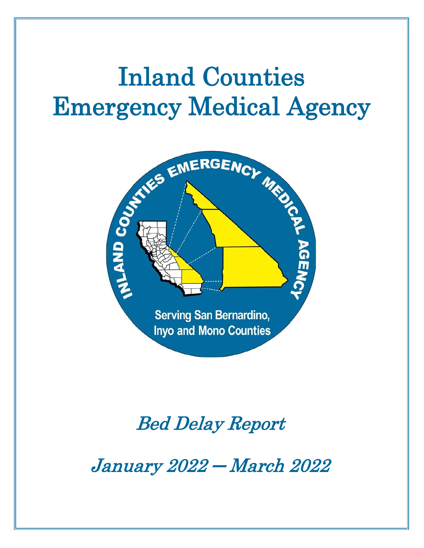# Inland Counties Emergency Medical Agency



# Bed Delay Report

January 2022 ─ March 2022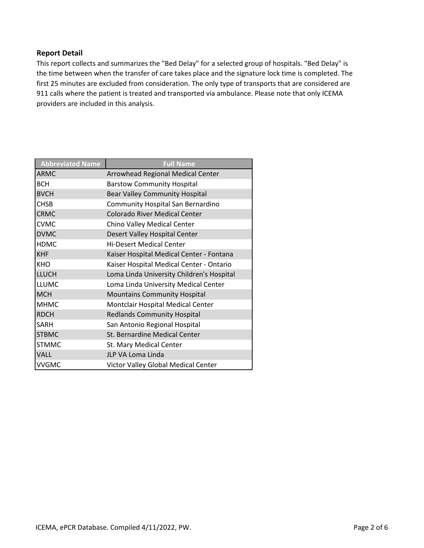#### **Report Detail**

This report collects and summarizes the "Bed Delay" for a selected group of hospitals. "Bed Delay" is the time between when the transfer of care takes place and the signature lock time is completed. The first 25 minutes are excluded from consideration. The only type of transports that are considered are 911 calls where the patient is treated and transported via ambulance. Please note that only ICEMA providers are included in this analysis.

| <b>Abbreviated Name</b> | <b>Full Name</b>                          |
|-------------------------|-------------------------------------------|
| <b>ARMC</b>             | Arrowhead Regional Medical Center         |
| <b>BCH</b>              | <b>Barstow Community Hospital</b>         |
| <b>BVCH</b>             | Bear Valley Community Hospital            |
| <b>CHSB</b>             | Community Hospital San Bernardino         |
| <b>CRMC</b>             | <b>Colorado River Medical Center</b>      |
| <b>CVMC</b>             | Chino Valley Medical Center               |
| <b>DVMC</b>             | Desert Valley Hospital Center             |
| <b>HDMC</b>             | <b>Hi-Desert Medical Center</b>           |
| <b>KHF</b>              | Kaiser Hospital Medical Center - Fontana  |
| <b>KHO</b>              | Kaiser Hospital Medical Center - Ontario  |
| <b>LLUCH</b>            | Loma Linda University Children's Hospital |
| <b>LLUMC</b>            | Loma Linda University Medical Center      |
| <b>MCH</b>              | <b>Mountains Community Hospital</b>       |
| <b>MHMC</b>             | Montclair Hospital Medical Center         |
| <b>RDCH</b>             | <b>Redlands Community Hospital</b>        |
| <b>SARH</b>             | San Antonio Regional Hospital             |
| <b>STBMC</b>            | St. Bernardine Medical Center             |
| <b>STMMC</b>            | St. Mary Medical Center                   |
| <b>VALL</b>             | JLP VA Loma Linda                         |
| <b>VVGMC</b>            | Victor Valley Global Medical Center       |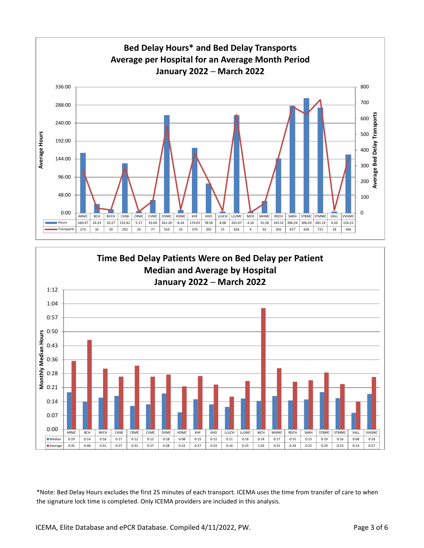

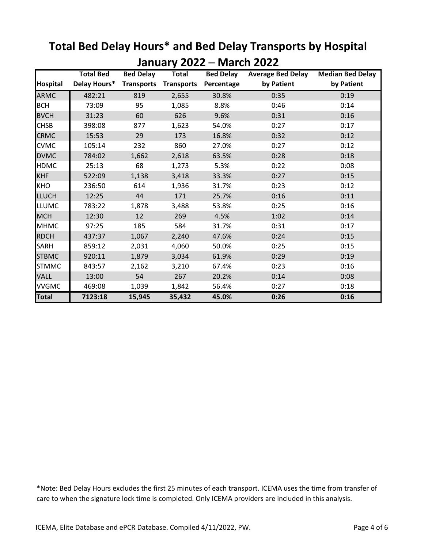|                 |                  |                   | JUIJUUJ Y LULL    |                  | IVIUI VII LULL           |                         |
|-----------------|------------------|-------------------|-------------------|------------------|--------------------------|-------------------------|
|                 | <b>Total Bed</b> | <b>Bed Delay</b>  | <b>Total</b>      | <b>Bed Delay</b> | <b>Average Bed Delay</b> | <b>Median Bed Delay</b> |
| <b>Hospital</b> | Delay Hours*     | <b>Transports</b> | <b>Transports</b> | Percentage       | by Patient               | by Patient              |
| <b>ARMC</b>     | 482:21           | 819               | 2,655             | 30.8%            | 0:35                     | 0:19                    |
| <b>BCH</b>      | 73:09            | 95                | 1,085             | 8.8%             | 0:46                     | 0:14                    |
| <b>BVCH</b>     | 31:23            | 60                | 626               | 9.6%             | 0:31                     | 0:16                    |
| <b>CHSB</b>     | 398:08           | 877               | 1,623             | 54.0%            | 0:27                     | 0:17                    |
| <b>CRMC</b>     | 15:53            | 29                | 173               | 16.8%            | 0:32                     | 0:12                    |
| <b>CVMC</b>     | 105:14           | 232               | 860               | 27.0%            | 0:27                     | 0:12                    |
| <b>DVMC</b>     | 784:02           | 1,662             | 2,618             | 63.5%            | 0:28                     | 0:18                    |
| <b>HDMC</b>     | 25:13            | 68                | 1,273             | 5.3%             | 0:22                     | 0:08                    |
| <b>KHF</b>      | 522:09           | 1,138             | 3,418             | 33.3%            | 0:27                     | 0:15                    |
| <b>KHO</b>      | 236:50           | 614               | 1,936             | 31.7%            | 0:23                     | 0:12                    |
| <b>LLUCH</b>    | 12:25            | 44                | 171               | 25.7%            | 0:16                     | 0:11                    |
| <b>LLUMC</b>    | 783:22           | 1,878             | 3,488             | 53.8%            | 0:25                     | 0:16                    |
| <b>MCH</b>      | 12:30            | 12                | 269               | 4.5%             | 1:02                     | 0:14                    |
| <b>MHMC</b>     | 97:25            | 185               | 584               | 31.7%            | 0:31                     | 0:17                    |
| <b>RDCH</b>     | 437:37           | 1,067             | 2,240             | 47.6%            | 0:24                     | 0:15                    |
| <b>SARH</b>     | 859:12           | 2,031             | 4,060             | 50.0%            | 0:25                     | 0:15                    |
| <b>STBMC</b>    | 920:11           | 1,879             | 3,034             | 61.9%            | 0:29                     | 0:19                    |
| <b>STMMC</b>    | 843:57           | 2,162             | 3,210             | 67.4%            | 0:23                     | 0:16                    |
| VALL            | 13:00            | 54                | 267               | 20.2%            | 0:14                     | 0:08                    |
| <b>VVGMC</b>    | 469:08           | 1,039             | 1,842             | 56.4%            | 0:27                     | 0:18                    |
| <b>Total</b>    | 7123:18          | 15,945            | 35,432            | 45.0%            | 0:26                     | 0:16                    |

## **Total Bed Delay Hours\* and Bed Delay Transports by Hospital January 2022 ─ March 2022**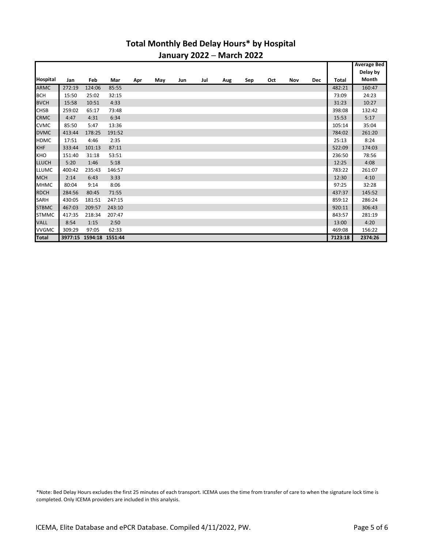#### **Total Monthly Bed Delay Hours\* by Hospital January 2022 ─ March 2022**

|              |        |                         |        |     |     |     |     |     |     |     |     |            |         | <b>Average Bed</b> |
|--------------|--------|-------------------------|--------|-----|-----|-----|-----|-----|-----|-----|-----|------------|---------|--------------------|
| Hospital     | Jan    | Feb                     | Mar    | Apr | May | Jun | Jul | Aug | Sep | Oct | Nov | <b>Dec</b> | Total   | Delay by<br>Month  |
| ARMC         | 272:19 | 124:06                  | 85:55  |     |     |     |     |     |     |     |     |            | 482:21  | 160:47             |
| <b>BCH</b>   | 15:50  | 25:02                   | 32:15  |     |     |     |     |     |     |     |     |            | 73:09   | 24:23              |
| <b>BVCH</b>  | 15:58  | 10:51                   | 4:33   |     |     |     |     |     |     |     |     |            | 31:23   | 10:27              |
|              |        |                         |        |     |     |     |     |     |     |     |     |            |         |                    |
| <b>CHSB</b>  | 259:02 | 65:17                   | 73:48  |     |     |     |     |     |     |     |     |            | 398:08  | 132:42             |
| <b>CRMC</b>  | 4:47   | 4:31                    | 6:34   |     |     |     |     |     |     |     |     |            | 15:53   | 5:17               |
| <b>CVMC</b>  | 85:50  | 5:47                    | 13:36  |     |     |     |     |     |     |     |     |            | 105:14  | 35:04              |
| <b>DVMC</b>  | 413:44 | 178:25                  | 191:52 |     |     |     |     |     |     |     |     |            | 784:02  | 261:20             |
| <b>HDMC</b>  | 17:51  | 4:46                    | 2:35   |     |     |     |     |     |     |     |     |            | 25:13   | 8:24               |
| <b>KHF</b>   | 333:44 | 101:13                  | 87:11  |     |     |     |     |     |     |     |     |            | 522:09  | 174:03             |
| <b>KHO</b>   | 151:40 | 31:18                   | 53:51  |     |     |     |     |     |     |     |     |            | 236:50  | 78:56              |
| <b>LLUCH</b> | 5:20   | 1:46                    | 5:18   |     |     |     |     |     |     |     |     |            | 12:25   | 4:08               |
| <b>LLUMC</b> | 400:42 | 235:43                  | 146:57 |     |     |     |     |     |     |     |     |            | 783:22  | 261:07             |
| <b>MCH</b>   | 2:14   | 6:43                    | 3:33   |     |     |     |     |     |     |     |     |            | 12:30   | 4:10               |
| <b>MHMC</b>  | 80:04  | 9:14                    | 8:06   |     |     |     |     |     |     |     |     |            | 97:25   | 32:28              |
| <b>RDCH</b>  | 284:56 | 80:45                   | 71:55  |     |     |     |     |     |     |     |     |            | 437:37  | 145:52             |
| SARH         | 430:05 | 181:51                  | 247:15 |     |     |     |     |     |     |     |     |            | 859:12  | 286:24             |
| <b>STBMC</b> | 467:03 | 209:57                  | 243:10 |     |     |     |     |     |     |     |     |            | 920:11  | 306:43             |
| <b>STMMC</b> | 417:35 | 218:34                  | 207:47 |     |     |     |     |     |     |     |     |            | 843:57  | 281:19             |
| <b>VALL</b>  | 8:54   | 1:15                    | 2:50   |     |     |     |     |     |     |     |     |            | 13:00   | 4:20               |
| <b>VVGMC</b> | 309:29 | 97:05                   | 62:33  |     |     |     |     |     |     |     |     |            | 469:08  | 156:22             |
| <b>Total</b> |        | 3977:15 1594:18 1551:44 |        |     |     |     |     |     |     |     |     |            | 7123:18 | 2374:26            |